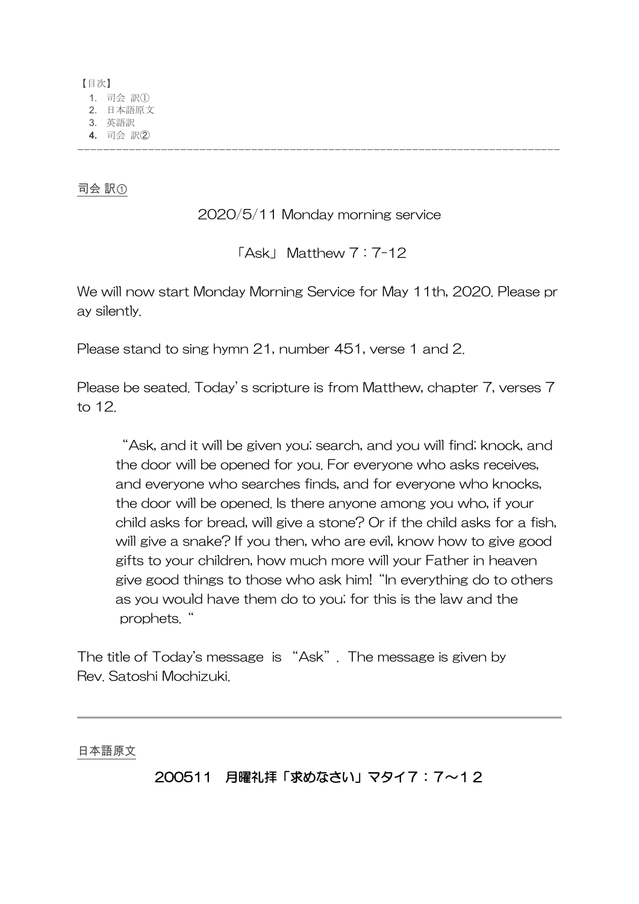【目次】 1. 司会 訳① 2. 日本語原文 3. 英語訳 **4.** 司会 訳② ---------------------------------------------------------------------------

司会 訳①

2020/5/11 Monday morning service

「Ask」 Matthew 7:7-12

We will now start Monday Morning Service for May 11th, 2020. Please pr ay silently.

Please stand to sing hymn 21, number 451, verse 1 and 2.

Please be seated. Today's scripture is from Matthew, chapter 7, verses 7 to 12.

"Ask, and it will be given you; search, and you will find; knock, and the door will be opened for you. For everyone who asks receives, and everyone who searches finds, and for everyone who knocks, the door will be opened. Is there anyone among you who, if your child asks for bread, will give a stone? Or if the child asks for a fish, will give a snake? If you then, who are evil, know how to give good gifts to your children, how much more will your Father in heaven give good things to those who ask him!"In everything do to others as you would have them do to you; for this is the law and the prophets."

The title of Today's message is "Ask". The message is given by Rev. Satoshi Mochizuki.

日本語原文

## 200511 月曜礼拝「求めなさい」マタイ7:7~12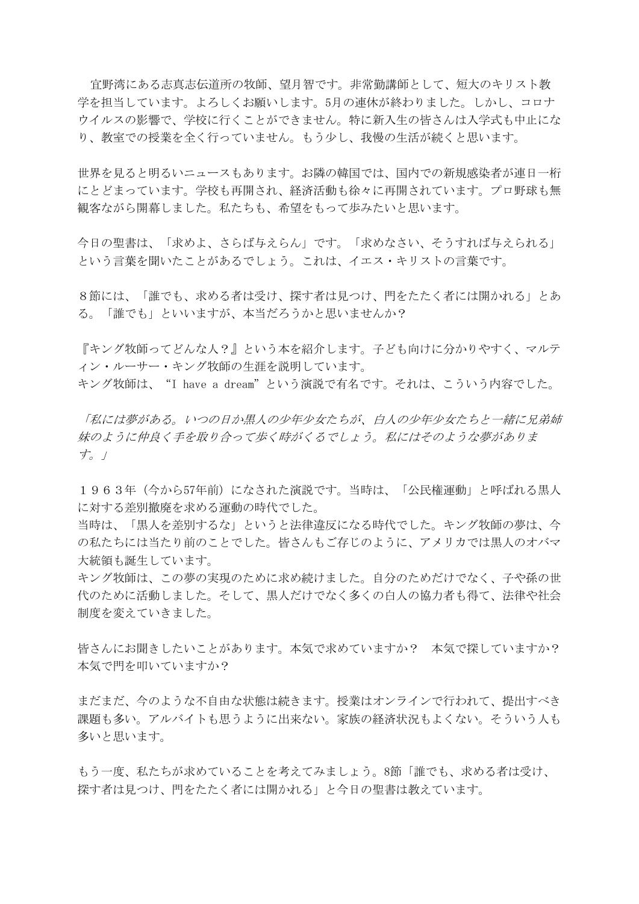宜野湾にある志真志伝道所の牧師、望月智です。非常勤講師として、短大のキリスト教 学を担当しています。よろしくお願いします。5月の連休が終わりました。しかし、コロナ ウイルスの影響で、学校に行くことができません。特に新入生の皆さんは入学式も中止にな り、教室での授業を全く行っていません。もう少し、我慢の生活が続くと思います。

世界を見ると明るいニュースもあります。お隣の韓国では、国内での新規感染者が連日一桁 にとどまっています。学校も再開され、経済活動も徐々に再開されています。プロ野球も無 観客ながら開幕しました。私たちも、希望をもって歩みたいと思います。

今日の聖書は、「求めよ、さらば与えらん」です。「求めなさい、そうすれば与えられる」 という言葉を聞いたことがあるでしょう。これは、イエス・キリストの言葉です。

8節には、「誰でも、求める者は受け、探す者は見つけ、門をたたく者には開かれる」とあ る。「誰でも」といいますが、本当だろうかと思いませんか?

『キング牧師ってどんな人?』という本を紹介します。子ども向けに分かりやすく、マルテ ィン・ルーサー・キング牧師の生涯を説明しています。 キング牧師は、"I have a dream"という演説で有名です。それは、こういう内容でした。

「私には夢がある。いつの日か黒人の少年少女たちが、白人の少年少女たちと一緒に兄弟姉 妹のように仲良く手を取り合って歩く時がくるでしょう。私にはそのような夢がありま す。」

1963年(今から57年前)になされた演説です。当時は、「公民権運動」と呼ばれる黒人 に対する差別撤廃を求める運動の時代でした。

当時は、「黒人を差別するな」というと法律違反になる時代でした。キング牧師の夢は、今 の私たちには当たり前のことでした。皆さんもご存じのように、アメリカでは黒人のオバマ 大統領も誕生しています。

キング牧師は、この夢の実現のために求め続けました。自分のためだけでなく、子や孫の世 代のために活動しました。そして、黒人だけでなく多くの白人の協力者も得て、法律や社会 制度を変えていきました。

皆さんにお聞きしたいことがあります。本気で求めていますか? 本気で探していますか? 本気で門を叩いていますか?

まだまだ、今のような不自由な状態は続きます。授業はオンラインで行われて、提出すべき 課題も多い。アルバイトも思うように出来ない。家族の経済状況もよくない。そういう人も 多いと思います。

もう一度、私たちが求めていることを考えてみましょう。8節「誰でも、求める者は受け、 探す者は見つけ、門をたたく者には開かれる」と今日の聖書は教えています。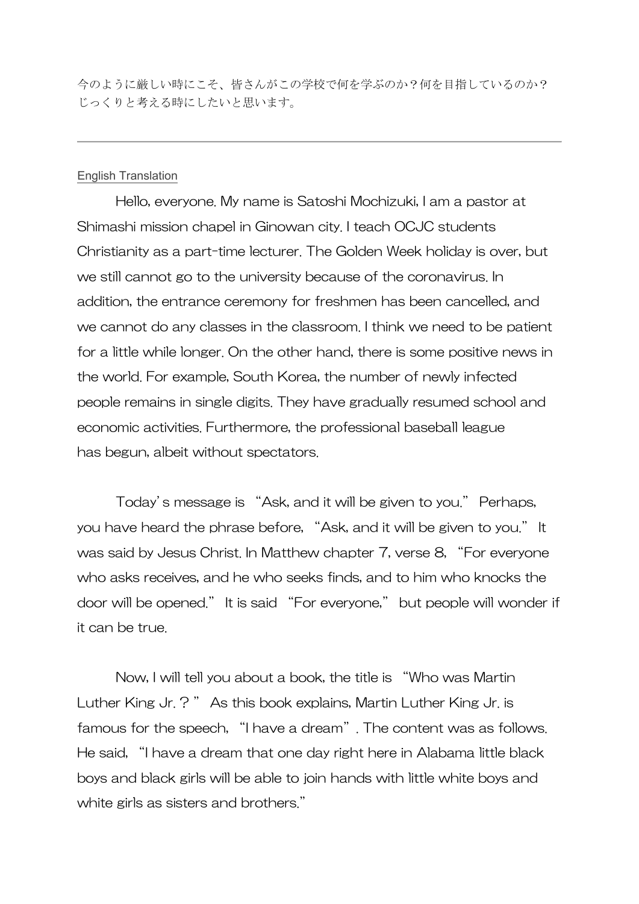今のように厳しい時にこそ、皆さんがこの学校で何を学ぶのか?何を目指しているのか? じっくりと考える時にしたいと思います。

## English Translation

Hello, everyone. My name is Satoshi Mochizuki, I am a pastor at Shimashi mission chapel in Ginowan city. I teach OCJC students Christianity as a part-time lecturer. The Golden Week holiday is over, but we still cannot go to the university because of the coronavirus. In addition, the entrance ceremony for freshmen has been cancelled, and we cannot do any classes in the classroom. I think we need to be patient for a little while longer. On the other hand, there is some positive news in the world. For example, South Korea, the number of newly infected people remains in single digits. They have gradually resumed school and economic activities. Furthermore, the professional baseball league has begun, albeit without spectators.

Today's message is "Ask, and it will be given to you." Perhaps, you have heard the phrase before, "Ask, and it will be given to you." It was said by Jesus Christ. In Matthew chapter 7, verse 8, "For everyone who asks receives, and he who seeks finds, and to him who knocks the door will be opened." It is said "For everyone," but people will wonder if it can be true.

Now, I will tell you about a book, the title is "Who was Martin Luther King Jr. ? " As this book explains, Martin Luther King Jr. is famous for the speech, "I have a dream". The content was as follows. He said, "I have a dream that one day right here in Alabama little black boys and black girls will be able to join hands with little white boys and white girls as sisters and brothers."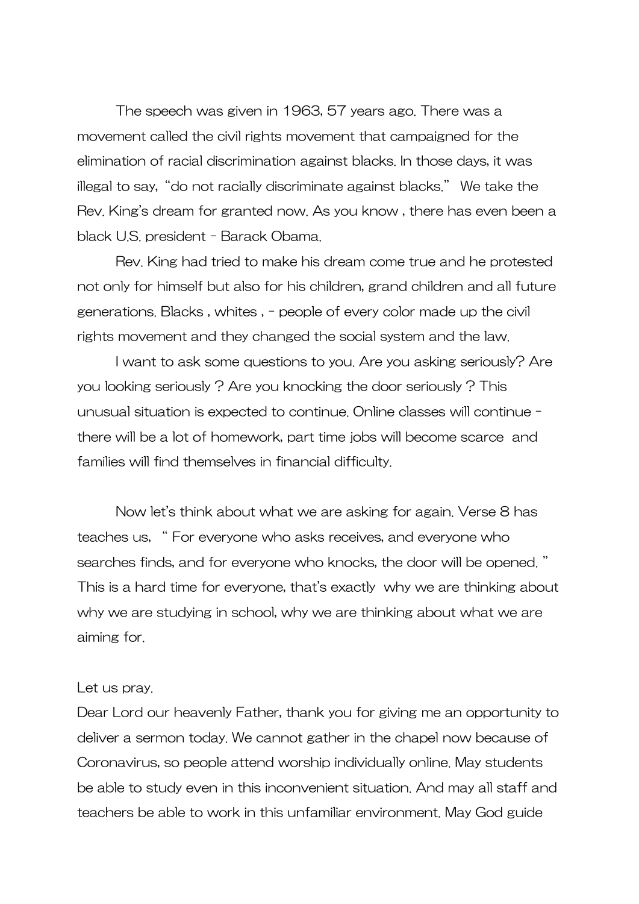The speech was given in 1963, 57 years ago. There was a movement called the civil rights movement that campaigned for the [elimination of](https://ejje.weblio.jp/content/elimination+of) [racial](https://ejje.weblio.jp/content/racial) discrimination against blacks. In those days, it was illegal to say, "do not racially discriminate against blacks." We take the Rev. King's dream for granted now. As you know , there has even been a black U.S. president - Barack Obama.

Rev. King had tried to make his dream come true and he protested not only for himself but also for his children, grand children and all future generations. Blacks , whites , - people of every color made up the civil rights movement and they changed the social system and the law.

I want to ask some questions to you. Are you asking seriously? Are you looking seriously ? Are you knocking the door seriously ? This unusual situation is expected to continue. Online classes will continue there will be a lot of homework, part time jobs will become scarce and families will find themselves in financial difficulty.

Now let's think about what we are asking for again. Verse 8 has teaches us, " For everyone who asks receives, and everyone who searches finds, and for everyone who knocks, the door will be opened. " This is a hard time for everyone, that's exactly why we are thinking about why we are studying in school, why we are thinking about what we are aiming for.

## Let us pray.

Dear Lord our heavenly Father, thank you for giving me an opportunity to deliver a sermon today. We cannot gather in the chapel now because of Coronavirus, so people attend worship individually online. May students be able to study even in this inconvenient situation. And may all staff and teachers be able to work in this unfamiliar environment. May God guide